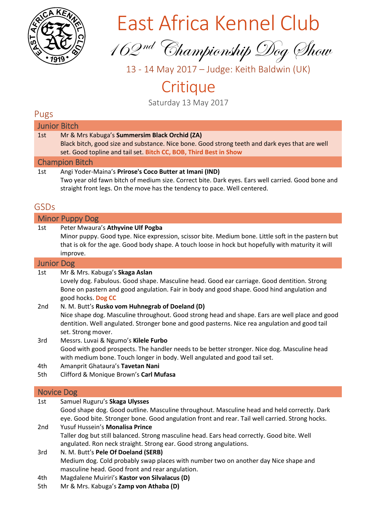

# East Africa Kennel Club

162 nd Championship Dog Show

13 - 14 May 2017 – Judge: Keith Baldwin (UK)

# **Critique**

Saturday 13 May 2017

# Pugs

| יסײ               |                                                                                                                                                                                                                                                                          |
|-------------------|--------------------------------------------------------------------------------------------------------------------------------------------------------------------------------------------------------------------------------------------------------------------------|
|                   | <b>Junior Bitch</b>                                                                                                                                                                                                                                                      |
| 1st               | Mr & Mrs Kabuga's Summersim Black Orchid (ZA)<br>Black bitch, good size and substance. Nice bone. Good strong teeth and dark eyes that are well<br>set. Good topline and tail set. Bitch CC, BOB, Third Best in Show                                                     |
|                   | <b>Champion Bitch</b>                                                                                                                                                                                                                                                    |
| 1st               | Angi Yoder-Maina's Prirose's Coco Butter at Imani (IND)<br>Two year old fawn bitch of medium size. Correct bite. Dark eyes. Ears well carried. Good bone and<br>straight front legs. On the move has the tendency to pace. Well centered.                                |
| <b>GSDs</b>       |                                                                                                                                                                                                                                                                          |
|                   | <b>Minor Puppy Dog</b>                                                                                                                                                                                                                                                   |
| 1st               | Peter Mwaura's Athyvine Ulf Pogba<br>Minor puppy. Good type. Nice expression, scissor bite. Medium bone. Little soft in the pastern but<br>that is ok for the age. Good body shape. A touch loose in hock but hopefully with maturity it will<br>improve.                |
| <b>Junior Dog</b> |                                                                                                                                                                                                                                                                          |
| 1st               | Mr & Mrs. Kabuga's Skaga Aslan<br>Lovely dog. Fabulous. Good shape. Masculine head. Good ear carriage. Good dentition. Strong<br>Bone on pastern and good angulation. Fair in body and good shape. Good hind angulation and<br>good hocks. Dog CC                        |
| 2nd               | N. M. Butt's Rusko vom Huhnegrab of Doeland (D)<br>Nice shape dog. Masculine throughout. Good strong head and shape. Ears are well place and good<br>dentition. Well angulated. Stronger bone and good pasterns. Nice rea angulation and good tail<br>set. Strong mover. |
| 3rd               | Messrs. Luvai & Ngumo's Kilele Furbo<br>Good with good prospects. The handler needs to be better stronger. Nice dog. Masculine head<br>with medium bone. Touch longer in body. Well angulated and good tail set.                                                         |
| 4th<br>5th        | Amanprit Ghataura's Tavetan Nani<br>Clifford & Monique Brown's Carl Mufasa                                                                                                                                                                                               |
|                   | <b>Novice Dog</b>                                                                                                                                                                                                                                                        |
| 1st               | Samuel Ruguru's Skaga Ulysses<br>Good shape dog. Good outline. Masculine throughout. Masculine head and held correctly. Dark                                                                                                                                             |

eye. Good bite. Stronger bone. Good angulation front and rear. Tail well carried. Strong hocks. 2nd Yusuf Hussein's **Monalisa Prince**

Taller dog but still balanced. Strong masculine head. Ears head correctly. Good bite. Well angulated. Ron neck straight. Strong ear. Good strong angulations.

- 3rd N. M. Butt's **Pele Of Doeland (SERB)** Medium dog. Cold probably swap places with number two on another day Nice shape and masculine head. Good front and rear angulation.
- 4th Magdalene Muiriri's **Kastor von Silvalacus (D)**
- 5th Mr & Mrs. Kabuga's **Zamp von Athaba (D)**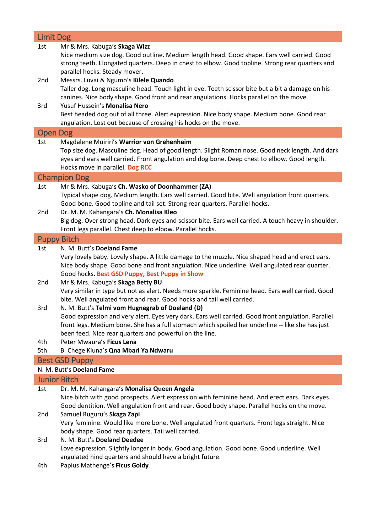| <b>Limit Dog</b>    |                                                                                                                                                                                                  |
|---------------------|--------------------------------------------------------------------------------------------------------------------------------------------------------------------------------------------------|
| 1st                 | Mr & Mrs. Kabuga's Skaga Wizz                                                                                                                                                                    |
|                     | Nice medium size dog. Good outline. Medium length head. Good shape. Ears well carried. Good                                                                                                      |
|                     | strong teeth. Elongated quarters. Deep in chest to elbow. Good topline. Strong rear quarters and                                                                                                 |
|                     | parallel hocks. Steady mover.                                                                                                                                                                    |
| 2nd                 | Messrs. Luvai & Ngumo's Kilele Quando                                                                                                                                                            |
|                     | Taller dog. Long masculine head. Touch light in eye. Teeth scissor bite but a bit a damage on his                                                                                                |
|                     | canines. Nice body shape. Good front and rear angulations. Hocks parallel on the move.                                                                                                           |
| 3rd                 | Yusuf Hussein's Monalisa Nero                                                                                                                                                                    |
|                     | Best headed dog out of all three. Alert expression. Nice body shape. Medium bone. Good rear                                                                                                      |
|                     | angulation. Lost out because of crossing his hocks on the move.                                                                                                                                  |
| <b>Open Dog</b>     |                                                                                                                                                                                                  |
| 1st                 | Magdalene Muiriri's Warrior von Grehenheim                                                                                                                                                       |
|                     | Top size dog. Masculine dog. Head of good length. Slight Roman nose. Good neck length. And dark                                                                                                  |
|                     | eyes and ears well carried. Front angulation and dog bone. Deep chest to elbow. Good length.                                                                                                     |
|                     | Hocks move in parallel. Dog RCC                                                                                                                                                                  |
|                     | <b>Champion Dog</b>                                                                                                                                                                              |
| 1st                 | Mr & Mrs. Kabuga's Ch. Wasko of Doonhammer (ZA)                                                                                                                                                  |
|                     | Typical shape dog. Medium length. Ears well carried. Good bite. Well angulation front quarters.                                                                                                  |
|                     | Good bone. Good topline and tail set. Strong rear quarters. Parallel hocks.                                                                                                                      |
| 2nd                 | Dr. M. M. Kahangara's Ch. Monalisa Kleo                                                                                                                                                          |
|                     | Big dog. Over strong head. Dark eyes and scissor bite. Ears well carried. A touch heavy in shoulder.<br>Front legs parallel. Chest deep to elbow. Parallel hocks.                                |
|                     |                                                                                                                                                                                                  |
| <b>Puppy Bitch</b>  |                                                                                                                                                                                                  |
| 1st                 | N. M. Butt's Doeland Fame                                                                                                                                                                        |
|                     | Very lovely baby. Lovely shape. A little damage to the muzzle. Nice shaped head and erect ears.<br>Nice body shape. Good bone and front angulation. Nice underline. Well angulated rear quarter. |
|                     | Good hocks. Best GSD Puppy, Best Puppy in Show                                                                                                                                                   |
| 2nd                 | Mr & Mrs. Kabuga's Skaga Betty BU                                                                                                                                                                |
|                     | Very similar in type but not as alert. Needs more sparkle. Feminine head. Ears well carried. Good                                                                                                |
|                     | bite. Well angulated front and rear. Good hocks and tail well carried.                                                                                                                           |
| 3rd                 | N. M. Butt's Telmi vom Hugnegrab of Doeland (D)                                                                                                                                                  |
|                     | Good expression and very alert. Eyes very dark. Ears well carried. Good front angulation. Parallel                                                                                               |
|                     | front legs. Medium bone. She has a full stomach which spoiled her underline -- like she has just                                                                                                 |
|                     | been feed. Nice rear quarters and powerful on the line.                                                                                                                                          |
| 4th                 | Peter Mwaura's Ficus Lena                                                                                                                                                                        |
| 5th                 | B. Chege Kiuna's Qna Mbari Ya Ndwaru                                                                                                                                                             |
|                     | <b>Best GSD Puppy</b>                                                                                                                                                                            |
|                     | N. M. Butt's Doeland Fame                                                                                                                                                                        |
| <b>Junior Bitch</b> |                                                                                                                                                                                                  |
| 1st                 | Dr. M. M. Kahangara's Monalisa Queen Angela                                                                                                                                                      |
|                     | Nice bitch with good prospects. Alert expression with feminine head. And erect ears. Dark eyes.                                                                                                  |
|                     | Good dentition. Well angulation front and rear. Good body shape. Parallel hocks on the move.                                                                                                     |
| 2nd                 | Samuel Ruguru's Skaga Zapi                                                                                                                                                                       |
|                     | Very feminine. Would like more bone. Well angulated front quarters. Front legs straight. Nice                                                                                                    |
|                     | body shape. Good rear quarters. Tail well carried.                                                                                                                                               |
| 3rd                 | N. M. Butt's Doeland Deedee                                                                                                                                                                      |
|                     | Love expression. Slightly longer in body. Good angulation. Good bone. Good underline. Well                                                                                                       |
|                     | angulated hind quarters and should have a bright future.                                                                                                                                         |
| 4th                 | Papius Mathenge's Ficus Goldy                                                                                                                                                                    |
|                     |                                                                                                                                                                                                  |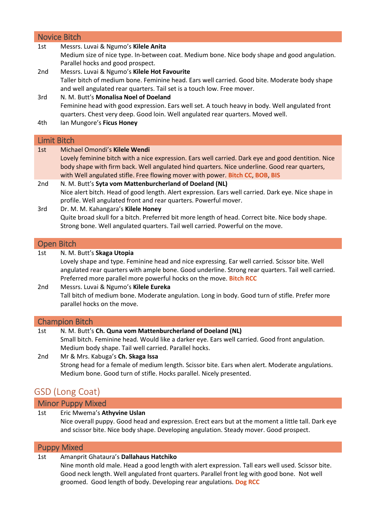|                        | <b>Novice Bitch</b>                                                                                                                                                                                                                                                                                                                             |  |
|------------------------|-------------------------------------------------------------------------------------------------------------------------------------------------------------------------------------------------------------------------------------------------------------------------------------------------------------------------------------------------|--|
| 1st                    | Messrs. Luvai & Ngumo's Kilele Anita<br>Medium size of nice type. In-between coat. Medium bone. Nice body shape and good angulation.<br>Parallel hocks and good prospect.                                                                                                                                                                       |  |
| 2nd                    | Messrs. Luvai & Ngumo's Kilele Hot Favourite<br>Taller bitch of medium bone. Feminine head. Ears well carried. Good bite. Moderate body shape<br>and well angulated rear quarters. Tail set is a touch low. Free mover.                                                                                                                         |  |
| 3rd                    | N. M. Butt's Monalisa Noel of Doeland<br>Feminine head with good expression. Ears well set. A touch heavy in body. Well angulated front<br>quarters. Chest very deep. Good loin. Well angulated rear quarters. Moved well.                                                                                                                      |  |
| 4th                    | Ian Mungore's Ficus Honey                                                                                                                                                                                                                                                                                                                       |  |
| <b>Limit Bitch</b>     |                                                                                                                                                                                                                                                                                                                                                 |  |
| 1st                    | Michael Omondi's Kilele Wendi<br>Lovely feminine bitch with a nice expression. Ears well carried. Dark eye and good dentition. Nice<br>body shape with firm back. Well angulated hind quarters. Nice underline. Good rear quarters,<br>with Well angulated stifle. Free flowing mover with power. Bitch CC, BOB, BIS                            |  |
| 2nd                    | N. M. Butt's Syta vom Mattenburcherland of Doeland (NL)<br>Nice alert bitch. Head of good length. Alert expression. Ears well carried. Dark eye. Nice shape in<br>profile. Well angulated front and rear quarters. Powerful mover.                                                                                                              |  |
| 3rd                    | Dr. M. M. Kahangara's Kilele Honey<br>Quite broad skull for a bitch. Preferred bit more length of head. Correct bite. Nice body shape.<br>Strong bone. Well angulated quarters. Tail well carried. Powerful on the move.                                                                                                                        |  |
|                        | <b>Open Bitch</b>                                                                                                                                                                                                                                                                                                                               |  |
| 1st<br>2 <sub>nd</sub> | N. M. Butt's Skaga Utopia<br>Lovely shape and type. Feminine head and nice expressing. Ear well carried. Scissor bite. Well<br>angulated rear quarters with ample bone. Good underline. Strong rear quarters. Tail well carried.<br>Preferred more parallel more powerful hocks on the move. Bitch RCC<br>Messrs. Luvai & Ngumo's Kilele Eureka |  |
|                        | Tall bitch of medium bone. Moderate angulation. Long in body. Good turn of stifle. Prefer more<br>parallel hocks on the move.                                                                                                                                                                                                                   |  |
| <b>Champion Bitch</b>  |                                                                                                                                                                                                                                                                                                                                                 |  |
| 1st<br>2nd             | N. M. Butt's Ch. Quna vom Mattenburcherland of Doeland (NL)<br>Small bitch. Feminine head. Would like a darker eye. Ears well carried. Good front angulation.<br>Medium body shape. Tail well carried. Parallel hocks.<br>Mr & Mrs. Kabuga's Ch. Skaga Issa                                                                                     |  |
|                        | Strong head for a female of medium length. Scissor bite. Ears when alert. Moderate angulations.<br>Medium bone. Good turn of stifle. Hocks parallel. Nicely presented.                                                                                                                                                                          |  |

# GSD (Long Coat)

Minor Puppy Mixed

### 1st Eric Mwema's **Athyvine Uslan**

Nice overall puppy. Good head and expression. Erect ears but at the moment a little tall. Dark eye and scissor bite. Nice body shape. Developing angulation. Steady mover. Good prospect.

### Puppy Mixed

### 1st Amanprit Ghataura's **Dallahaus Hatchiko**

Nine month old male. Head a good length with alert expression. Tall ears well used. Scissor bite. Good neck length. Well angulated front quarters. Parallel front leg with good bone. Not well groomed. Good length of body. Developing rear angulations. **Dog RCC**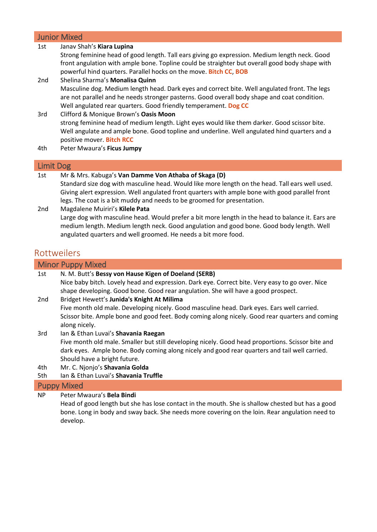### Junior Mixed

| 1st       | Janav Shah's Kiara Lupina                                                                                                                                                                                                                                        |
|-----------|------------------------------------------------------------------------------------------------------------------------------------------------------------------------------------------------------------------------------------------------------------------|
|           | Strong feminine head of good length. Tall ears giving go expression. Medium length neck. Good                                                                                                                                                                    |
|           | front angulation with ample bone. Topline could be straighter but overall good body shape with                                                                                                                                                                   |
|           | powerful hind quarters. Parallel hocks on the move. Bitch CC, BOB                                                                                                                                                                                                |
| 2nd       | Shelina Sharma's Monalisa Quinn                                                                                                                                                                                                                                  |
|           | Masculine dog. Medium length head. Dark eyes and correct bite. Well angulated front. The legs<br>are not parallel and he needs stronger pasterns. Good overall body shape and coat condition.<br>Well angulated rear quarters. Good friendly temperament. Dog CC |
| 3rd       | Clifford & Monique Brown's Oasis Moon                                                                                                                                                                                                                            |
|           | strong feminine head of medium length. Light eyes would like them darker. Good scissor bite.<br>Well angulate and ample bone. Good topline and underline. Well angulated hind quarters and a<br>positive mover. Bitch RCC                                        |
| 4th       | Peter Mwaura's Ficus Jumpy                                                                                                                                                                                                                                       |
| Limit Dog |                                                                                                                                                                                                                                                                  |

- 1st Mr & Mrs. Kabuga's **Van Damme Von Athaba of Skaga (D)** Standard size dog with masculine head. Would like more length on the head. Tall ears well used. Giving alert expression. Well angulated front quarters with ample bone with good parallel front legs. The coat is a bit muddy and needs to be groomed for presentation.
- 2nd Magdalene Muiriri's **Kilele Pata** Large dog with masculine head. Would prefer a bit more length in the head to balance it. Ears are medium length. Medium length neck. Good angulation and good bone. Good body length. Well angulated quarters and well groomed. He needs a bit more food.

# Rottweilers

|     | <b>Minor Puppy Mixed</b>                                                                          |
|-----|---------------------------------------------------------------------------------------------------|
| 1st | N. M. Butt's Bessy von Hause Kigen of Doeland (SERB)                                              |
|     | Nice baby bitch. Lovely head and expression. Dark eye. Correct bite. Very easy to go over. Nice   |
|     | shape developing. Good bone. Good rear angulation. She will have a good prospect.                 |
| 2nd | Bridget Hewett's Junida's Knight At Milima                                                        |
|     | Five month old male. Developing nicely. Good masculine head. Dark eyes. Ears well carried.        |
|     | Scissor bite. Ample bone and good feet. Body coming along nicely. Good rear quarters and coming   |
|     | along nicely.                                                                                     |
| 3rd | Ian & Ethan Luvai's Shavania Raegan                                                               |
|     | Five month old male. Smaller but still developing nicely. Good head proportions. Scissor bite and |
|     | dark eyes. Ample bone. Body coming along nicely and good rear quarters and tail well carried.     |
|     | Should have a bright future.                                                                      |
| 4th | Mr. C. Njonjo's Shavania Golda                                                                    |
| 5th | lan & Ethan Luvai's Shavania Truffle                                                              |
|     | Den and a controlled the state of the state of the                                                |

#### Puppy Mixed

NP Peter Mwaura's **Bela Bindi**

Head of good length but she has lose contact in the mouth. She is shallow chested but has a good bone. Long in body and sway back. She needs more covering on the loin. Rear angulation need to develop.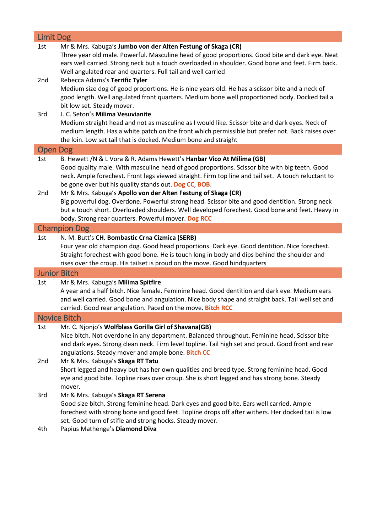| <b>Limit Dog</b>    |                                                                                                                                                                                                                                                                                                                                       |  |
|---------------------|---------------------------------------------------------------------------------------------------------------------------------------------------------------------------------------------------------------------------------------------------------------------------------------------------------------------------------------|--|
| 1st                 | Mr & Mrs. Kabuga's Jumbo von der Alten Festung of Skaga (CR)<br>Three year old male. Powerful. Masculine head of good proportions. Good bite and dark eye. Neat<br>ears well carried. Strong neck but a touch overloaded in shoulder. Good bone and feet. Firm back.<br>Well angulated rear and quarters. Full tail and well carried  |  |
| 2nd                 | Rebecca Adams's Terrific Tyler<br>Medium size dog of good proportions. He is nine years old. He has a scissor bite and a neck of<br>good length. Well angulated front quarters. Medium bone well proportioned body. Docked tail a<br>bit low set. Steady mover.                                                                       |  |
| 3rd                 | J. C. Seton's Milima Vesuvianite<br>Medium straight head and not as masculine as I would like. Scissor bite and dark eyes. Neck of<br>medium length. Has a white patch on the front which permissible but prefer not. Back raises over<br>the loin. Low set tail that is docked. Medium bone and straight                             |  |
| <b>Open Dog</b>     |                                                                                                                                                                                                                                                                                                                                       |  |
| 1st                 | B. Hewett /N & L Vora & R. Adams Hewett's Hanbar Vico At Milima (GB)<br>Good quality male. With masculine head of good proportions. Scissor bite with big teeth. Good<br>neck. Ample forechest. Front legs viewed straight. Firm top line and tail set. A touch reluctant to<br>be gone over but his quality stands out. Dog CC, BOB. |  |
| 2nd                 | Mr & Mrs. Kabuga's Apollo von der Alten Festung of Skaga (CR)<br>Big powerful dog. Overdone. Powerful strong head. Scissor bite and good dentition. Strong neck<br>but a touch short. Overloaded shoulders. Well developed forechest. Good bone and feet. Heavy in<br>body. Strong rear quarters. Powerful mover. Dog RCC             |  |
| <b>Champion Dog</b> |                                                                                                                                                                                                                                                                                                                                       |  |
|                     |                                                                                                                                                                                                                                                                                                                                       |  |
| 1st                 | N. M. Butt's CH. Bombastic Crna Cizmica (SERB)<br>Four year old champion dog. Good head proportions. Dark eye. Good dentition. Nice forechest.<br>Straight forechest with good bone. He is touch long in body and dips behind the shoulder and<br>rises over the croup. His tailset is proud on the move. Good hindquarters           |  |
|                     | <b>Junior Bitch</b>                                                                                                                                                                                                                                                                                                                   |  |
| 1st                 | Mr & Mrs. Kabuga's Milima Spitfire<br>A year and a half bitch. Nice female. Feminine head. Good dentition and dark eye. Medium ears<br>and well carried. Good bone and angulation. Nice body shape and straight back. Tail well set and<br>carried. Good rear angulation. Paced on the move. Bitch RCC                                |  |
|                     | <b>Novice Bitch</b>                                                                                                                                                                                                                                                                                                                   |  |
| 1st                 | Mr. C. Njonjo's Wolfblass Gorilla Girl of Shavana(GB)<br>Nice bitch. Not overdone in any department. Balanced throughout. Feminine head. Scissor bite<br>and dark eyes. Strong clean neck. Firm level topline. Tail high set and proud. Good front and rear                                                                           |  |
| 2nd                 | angulations. Steady mover and ample bone. Bitch CC<br>Mr & Mrs. Kabuga's Skaga RT Tatu<br>Short legged and heavy but has her own qualities and breed type. Strong feminine head. Good<br>eye and good bite. Topline rises over croup. She is short legged and has strong bone. Steady<br>mover.                                       |  |
| 3rd                 | Mr & Mrs. Kabuga's Skaga RT Serena<br>Good size bitch. Strong feminine head. Dark eyes and good bite. Ears well carried. Ample<br>forechest with strong bone and good feet. Topline drops off after withers. Her docked tail is low<br>set. Good turn of stifle and strong hocks. Steady mover.                                       |  |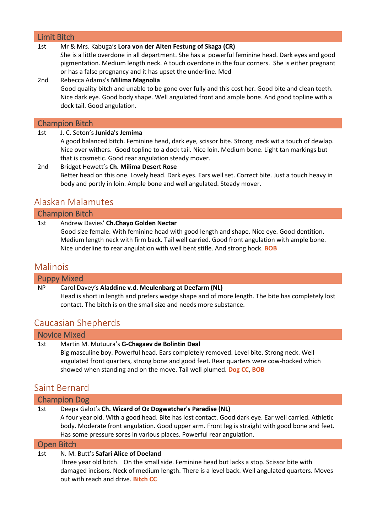### Limit Bitch

### 1st Mr & Mrs. Kabuga's **Lora von der Alten Festung of Skaga (CR)**

She is a little overdone in all department. She has a powerful feminine head. Dark eyes and good pigmentation. Medium length neck. A touch overdone in the four corners. She is either pregnant or has a false pregnancy and it has upset the underline. Med

# 2nd Rebecca Adams's **Milima Magnolia**

Good quality bitch and unable to be gone over fully and this cost her. Good bite and clean teeth. Nice dark eye. Good body shape. Well angulated front and ample bone. And good topline with a dock tail. Good angulation.

#### Champion Bitch

| 1st | J. C. Seton's Junida's Jemima                                                                       |
|-----|-----------------------------------------------------------------------------------------------------|
|     | A good balanced bitch. Feminine head, dark eye, scissor bite. Strong neck wit a touch of dewlap.    |
|     | Nice over withers. Good topline to a dock tail. Nice loin. Medium bone. Light tan markings but      |
|     | that is cosmetic. Good rear angulation steady mover.                                                |
| 2nd | Bridget Hewett's Ch. Milima Desert Rose                                                             |
|     | Better head on this one. Lovely head. Dark eyes. Ears well set. Correct bite. Just a touch heavy in |
|     | body and portly in loin. Ample bone and well angulated. Steady mover.                               |
|     |                                                                                                     |
|     |                                                                                                     |

# Alaskan Malamutes

### Champion Bitch

### 1st Andrew Davies' **Ch.Chayo Golden Nectar**

Good size female. With feminine head with good length and shape. Nice eye. Good dentition. Medium length neck with firm back. Tail well carried. Good front angulation with ample bone. Nice underline to rear angulation with well bent stifle. And strong hock. **BOB**

### Malinois

### Puppy Mixed NP Carol Davey's **Aladdine v.d. Meulenbarg at Deefarm (NL)** Head is short in length and prefers wedge shape and of more length. The bite has completely lost contact. The bitch is on the small size and needs more substance.

# Caucasian Shepherds

| <b>Novice Mixed</b>                                                                                                                                                                                                                                                                                                  |  |
|----------------------------------------------------------------------------------------------------------------------------------------------------------------------------------------------------------------------------------------------------------------------------------------------------------------------|--|
| Martin M. Mutuura's G-Chagaev de Bolintin Deal<br>1st<br>Big masculine boy. Powerful head. Ears completely removed. Level bite. Strong neck. Well<br>angulated front quarters, strong bone and good feet. Rear quarters were cow-hocked which<br>showed when standing and on the move. Tail well plumed. Dog CC, BOB |  |
| Saint Bernard                                                                                                                                                                                                                                                                                                        |  |
| <b>Champion Dog</b>                                                                                                                                                                                                                                                                                                  |  |
| Deepa Galot's Ch. Wizard of Oz Dogwatcher's Paradise (NL)<br>1st                                                                                                                                                                                                                                                     |  |
| A four year old. With a good head. Bite has lost contact. Good dark eye. Ear well carried. Athletic<br>body. Moderate front angulation. Good upper arm. Front leg is straight with good bone and feet.                                                                                                               |  |
| Has some pressure sores in various places. Powerful rear angulation.                                                                                                                                                                                                                                                 |  |
| Open Bitch                                                                                                                                                                                                                                                                                                           |  |

### 1st N. M. Butt's **Safari Alice of Doeland**

Three year old bitch. On the small side. Feminine head but lacks a stop. Scissor bite with damaged incisors. Neck of medium length. There is a level back. Well angulated quarters. Moves out with reach and drive. **Bitch CC**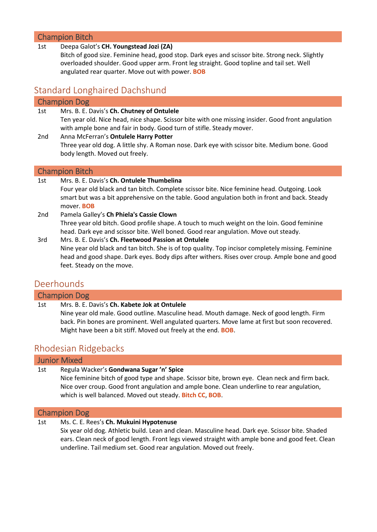# Champion Bitch

| 1st             | Deepa Galot's CH. Youngstead Jozi (ZA)<br>Bitch of good size. Feminine head, good stop. Dark eyes and scissor bite. Strong neck. Slightly<br>overloaded shoulder. Good upper arm. Front leg straight. Good topline and tail set. Well<br>angulated rear quarter. Move out with power. <b>BOB</b> |
|-----------------|--------------------------------------------------------------------------------------------------------------------------------------------------------------------------------------------------------------------------------------------------------------------------------------------------|
|                 | <b>Standard Longhaired Dachshund</b>                                                                                                                                                                                                                                                             |
|                 | <b>Champion Dog</b>                                                                                                                                                                                                                                                                              |
| 1st             | Mrs. B. E. Davis's Ch. Chutney of Ontulele<br>Ten year old. Nice head, nice shape. Scissor bite with one missing insider. Good front angulation<br>with ample bone and fair in body. Good turn of stifle. Steady mover.                                                                          |
| 2 <sub>nd</sub> | Anna McFerran's Ontulele Harry Potter<br>Three year old dog. A little shy. A Roman nose. Dark eye with scissor bite. Medium bone. Good<br>body length. Moved out freely.                                                                                                                         |
|                 | <b>Champion Bitch</b>                                                                                                                                                                                                                                                                            |
| 1st             | Mrs. B. E. Davis's Ch. Ontulele Thumbelina<br>Four year old black and tan bitch. Complete scissor bite. Nice feminine head. Outgoing. Look<br>smart but was a bit apprehensive on the table. Good angulation both in front and back. Steady<br>mover. <b>BOB</b>                                 |
| 2 <sub>nd</sub> | Pamela Galley's Ch Phiela's Cassie Clown<br>Three year old bitch. Good profile shape. A touch to much weight on the loin. Good feminine<br>head. Dark eye and scissor bite. Well boned. Good rear angulation. Move out steady.                                                                   |
| 3rd             | Mrs. B. E. Davis's Ch. Fleetwood Passion at Ontulele<br>مشعثونا والمستمع والمقام والمسمم ومتمنعت وبعاتب والتسميم فالمراقب والمستطر والمعتار ومعارضه والمساول والمستروم والمستحدث                                                                                                                 |

Nine year old black and tan bitch. She is of top quality. Top incisor completely missing. Feminine head and good shape. Dark eyes. Body dips after withers. Rises over croup. Ample bone and good feet. Steady on the move.

# Deerhounds

Champion Dog

1st Mrs. B. E. Davis's **Ch. Kabete Jok at Ontulele** Nine year old male. Good outline. Masculine head. Mouth damage. Neck of good length. Firm back. Pin bones are prominent. Well angulated quarters. Move lame at first but soon recovered. Might have been a bit stiff. Moved out freely at the end. **BOB**.

# Rhodesian Ridgebacks

Junior Mixed

### 1st Regula Wacker's **Gondwana Sugar 'n' Spice**

Nice feminine bitch of good type and shape. Scissor bite, brown eye. Clean neck and firm back. Nice over croup. Good front angulation and ample bone. Clean underline to rear angulation, which is well balanced. Moved out steady. **Bitch CC**, **BOB**.

### Champion Dog

1st Ms. C. E. Rees's **Ch. Mukuini Hypotenuse**

Six year old dog. Athletic build. Lean and clean. Masculine head. Dark eye. Scissor bite. Shaded ears. Clean neck of good length. Front legs viewed straight with ample bone and good feet. Clean underline. Tail medium set. Good rear angulation. Moved out freely.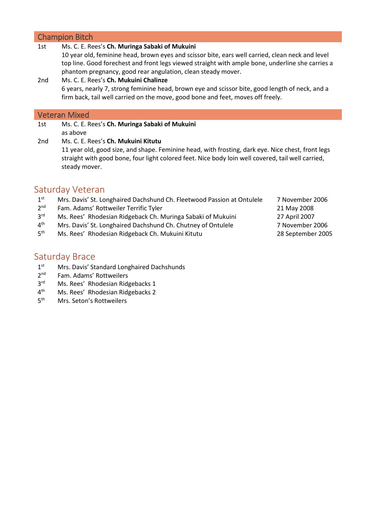### Champion Bitch

| 1st             | Ms. C. E. Rees's Ch. Muringa Sabaki of Mukuini                                                    |
|-----------------|---------------------------------------------------------------------------------------------------|
|                 | 10 year old, feminine head, brown eyes and scissor bite, ears well carried, clean neck and level  |
|                 | top line. Good forechest and front legs viewed straight with ample bone, underline she carries a  |
|                 | phantom pregnancy, good rear angulation, clean steady mover.                                      |
| 2nd             | Ms. C. E. Rees's Ch. Mukuini Chalinze                                                             |
|                 | 6 years, nearly 7, strong feminine head, brown eye and scissor bite, good length of neck, and a   |
|                 | firm back, tail well carried on the move, good bone and feet, moves off freely.                   |
|                 |                                                                                                   |
|                 |                                                                                                   |
|                 | <b>Veteran Mixed</b>                                                                              |
| 1st             | Ms. C. E. Rees's Ch. Muringa Sabaki of Mukuini                                                    |
|                 | as above                                                                                          |
| 2 <sub>nd</sub> | Ms. C. E. Rees's Ch. Mukuini Kitutu                                                               |
|                 | 11 year old, good size, and shape. Feminine head, with frosting, dark eye. Nice chest, front legs |

# Saturday Veteran

steady mover.

- $1^{\text{st}}$ Mrs. Davis' St. Longhaired Dachshund Ch. Fleetwood Passion at Ontulele 7 November 2006
- $2<sup>nd</sup>$ Fam. Adams' Rottweiler Terrific Tyler 21 May 2008
- $3<sup>rd</sup>$ rd Ms. Rees' Rhodesian Ridgeback Ch. Muringa Sabaki of Mukuini 27 April 2007
- $4<sup>th</sup>$ Mrs. Davis' St. Longhaired Dachshund Ch. Chutney of Ontulele 7 November 2006
- $5<sup>th</sup>$ th Ms. Rees' Rhodesian Ridgeback Ch. Mukuini Kitutu 28 September 2005
- 

# Saturday Brace

- $1<sup>st</sup>$ Mrs. Davis' Standard Longhaired Dachshunds
- $2<sup>nd</sup>$ Fam. Adams' Rottweilers
- 3<sup>rd</sup> Ms. Rees' Rhodesian Ridgebacks 1
- $4^{\text{th}}$ Ms. Rees' Rhodesian Ridgebacks 2
- $5<sup>th</sup>$ Mrs. Seton's Rottweilers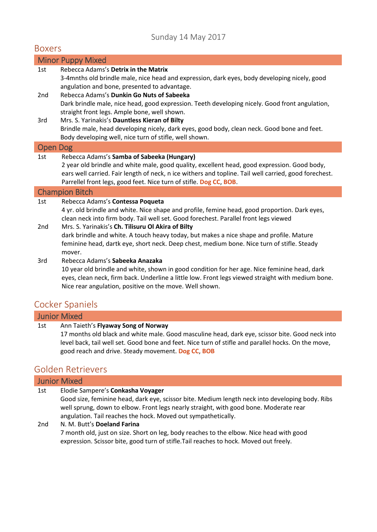# Sunday 14 May 2017

### Boxers

|                 | <b>Minor Puppy Mixed</b>                                                                                                                                                              |
|-----------------|---------------------------------------------------------------------------------------------------------------------------------------------------------------------------------------|
| 1st             | Rebecca Adams's Detrix in the Matrix<br>3-4mnths old brindle male, nice head and expression, dark eyes, body developing nicely, good                                                  |
|                 | angulation and bone, presented to advantage.                                                                                                                                          |
| 2 <sub>nd</sub> | Rebecca Adams's Dunkin Go Nuts of Sabeeka                                                                                                                                             |
|                 | Dark brindle male, nice head, good expression. Teeth developing nicely. Good front angulation,                                                                                        |
|                 | straight front legs. Ample bone, well shown.                                                                                                                                          |
| 3rd             | Mrs. S. Yarinakis's Dauntless Kieran of Bilty                                                                                                                                         |
|                 | Brindle male, head developing nicely, dark eyes, good body, clean neck. Good bone and feet.<br>Body developing well, nice turn of stifle, well shown.                                 |
| <b>Open Dog</b> |                                                                                                                                                                                       |
| 1st             | Rebecca Adams's Samba of Sabeeka (Hungary)                                                                                                                                            |
|                 | 2 year old brindle and white male, good quality, excellent head, good expression. Good body,                                                                                          |
|                 | ears well carried. Fair length of neck, n ice withers and topline. Tail well carried, good forechest.<br>Parrellel front legs, good feet. Nice turn of stifle. Dog CC, BOB.           |
|                 | <b>Champion Bitch</b>                                                                                                                                                                 |
| 1st             | Rebecca Adams's Contessa Poqueta                                                                                                                                                      |
|                 | 4 yr. old brindle and white. Nice shape and profile, femine head, good proportion. Dark eyes,<br>clean neck into firm body. Tail well set. Good forechest. Parallel front legs viewed |
| 2 <sub>nd</sub> | Mrs. S. Yarinakis's Ch. Tilisuru Ol Akira of Bilty                                                                                                                                    |
|                 | dark brindle and white. A touch heavy today, but makes a nice shape and profile. Mature                                                                                               |
|                 | feminine head, dartk eye, short neck. Deep chest, medium bone. Nice turn of stifle. Steady                                                                                            |
|                 | mover.                                                                                                                                                                                |
| 3rd             | Rebecca Adams's Sabeeka Anazaka                                                                                                                                                       |
|                 | 10 year old brindle and white, shown in good condition for her age. Nice feminine head, dark                                                                                          |

eyes, clean neck, firm back. Underline a little low. Front legs viewed straight with medium bone. Nice rear angulation, positive on the move. Well shown.

# Cocker Spaniels

# Junior Mixed

### 1st Ann Taieth's **Flyaway Song of Norway**

17 months old black and white male. Good masculine head, dark eye, scissor bite. Good neck into level back, tail well set. Good bone and feet. Nice turn of stifle and parallel hocks. On the move, good reach and drive. Steady movement. **Dog CC**, **BOB**

# Golden Retrievers

|     | <b>Junior Mixed</b>                                                                                                                                                                                                                                                                            |
|-----|------------------------------------------------------------------------------------------------------------------------------------------------------------------------------------------------------------------------------------------------------------------------------------------------|
| 1st | Elodie Sampere's Conkasha Voyager<br>Good size, feminine head, dark eye, scissor bite. Medium length neck into developing body. Ribs<br>well sprung, down to elbow. Front legs nearly straight, with good bone. Moderate rear<br>angulation. Tail reaches the hock. Moved out sympathetically. |
| 2nd | N. M. Butt's Doeland Farina<br>7 month old, just on size. Short on leg, body reaches to the elbow. Nice head with good<br>expression. Scissor bite, good turn of stifle. Tail reaches to hock. Moved out freely.                                                                               |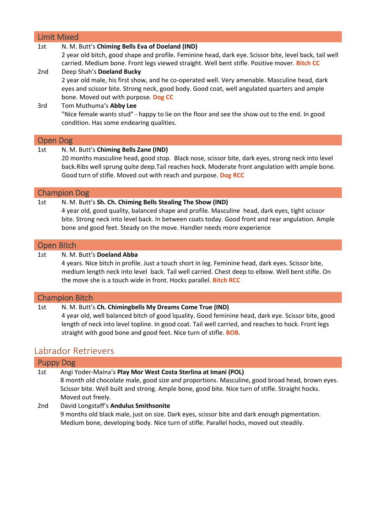| <b>Limit Mixed</b> |                                                                                                                                                                                              |
|--------------------|----------------------------------------------------------------------------------------------------------------------------------------------------------------------------------------------|
| 1st                | N. M. Butt's Chiming Bells Eva of Doeland (IND)<br>2 year old bitch, good shape and profile. Feminine head, dark eye. Scissor bite, level back, tail well                                    |
|                    | carried. Medium bone. Front legs viewed straight. Well bent stifle. Positive mover. Bitch CC                                                                                                 |
| 2 <sub>nd</sub>    | Deep Shah's Doeland Bucky                                                                                                                                                                    |
|                    | 2 year old male, his first show, and he co-operated well. Very amenable. Masculine head, dark<br>eyes and scissor bite. Strong neck, good body. Good coat, well angulated quarters and ample |
|                    | bone. Moved out with purpose. Dog CC                                                                                                                                                         |
| 3rd                | Tom Muthuma's Abby Lee                                                                                                                                                                       |
|                    | "Nice female wants stud" - happy to lie on the floor and see the show out to the end. In good<br>condition. Has some endearing qualities.                                                    |
|                    |                                                                                                                                                                                              |
| <b>Open Dog</b>    |                                                                                                                                                                                              |
| 1st                | N. M. Butt's Chiming Bells Zane (IND)                                                                                                                                                        |
|                    | 20 months masculine head, good stop. Black nose, scissor bite, dark eyes, strong neck into level                                                                                             |
|                    | back.Ribs well sprung quite deep.Tail reaches hock. Moderate front angulation with ample bone.                                                                                               |
|                    | Good turn of stifle. Moved out with reach and purpose. Dog RCC                                                                                                                               |
|                    | <b>Champion Dog</b>                                                                                                                                                                          |
| 1st                | N. M. Butt's Sh. Ch. Chiming Bells Stealing The Show (IND)                                                                                                                                   |
|                    | 4 year old, good quality, balanced shape and profile. Masculine head, dark eyes, tight scissor                                                                                               |
|                    | bite. Strong neck into level back. In between coats today. Good front and rear angulation. Ample                                                                                             |
|                    | bone and good feet. Steady on the move. Handler needs more experience                                                                                                                        |
| <b>Open Bitch</b>  |                                                                                                                                                                                              |
| 1st                | N. M. Butt's Doeland Abba                                                                                                                                                                    |
|                    | Averso Nico bitch in profile, Just a touch short in leg. Eemining head, dark over Scissor bitg.                                                                                              |

4 years. Nice bitch in profile. Just a touch short in leg. Feminine head, dark eyes. Scissor bite, medium length neck into level back. Tail well carried. Chest deep to elbow. Well bent stifle. On the move she is a touch wide in front. Hocks parallel. **Bitch RCC**

### Champion Bitch

#### 1st N. M. Butt's **Ch. Chimingbells My Dreams Come True (IND)**

4 year old, well balanced bitch of good lquality. Good feminine head, dark eye. Scissor bite, good length of neck into level topline. In good coat. Tail well carried, and reaches to hock. Front legs straight with good bone and good feet. Nice turn of stifle. **BOB**.

# Labrador Retrievers

| <b>Puppy Dog</b> |                                                                                                                                                                                                                                                                      |
|------------------|----------------------------------------------------------------------------------------------------------------------------------------------------------------------------------------------------------------------------------------------------------------------|
| 1st              | Angi Yoder-Maina's Play Mor West Costa Sterlina at Imani (POL)<br>8 month old chocolate male, good size and proportions. Masculine, good broad head, brown eyes.<br>Scissor bite. Well built and strong. Ample bone, good bite. Nice turn of stifle. Straight hocks. |
|                  | Moved out freely.                                                                                                                                                                                                                                                    |
| 2nd              | David Longstaff's Andulus Smithsonite<br>9 months old black male, just on size. Dark eyes, scissor bite and dark enough pigmentation.<br>Medium bone, developing body. Nice turn of stifle. Parallel hocks, moved out steadily.                                      |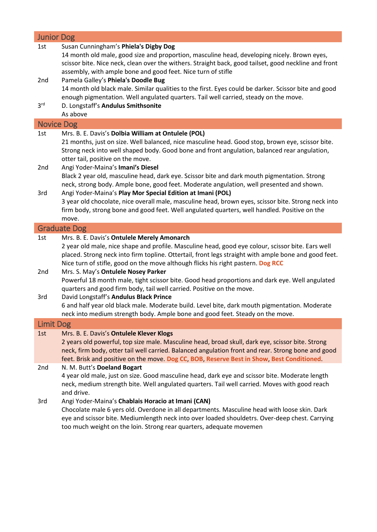|                   | <b>Junior Dog</b>                                                                                                                                                     |
|-------------------|-----------------------------------------------------------------------------------------------------------------------------------------------------------------------|
| 1st               | Susan Cunningham's Phiela's Digby Dog                                                                                                                                 |
|                   | 14 month old male, good size and proportion, masculine head, developing nicely. Brown eyes,                                                                           |
|                   | scissor bite. Nice neck, clean over the withers. Straight back, good tailset, good neckline and front                                                                 |
|                   | assembly, with ample bone and good feet. Nice turn of stifle                                                                                                          |
| 2nd               | Pamela Galley's Phiela's Doodle Bug                                                                                                                                   |
|                   | 14 month old black male. Similar qualities to the first. Eyes could be darker. Scissor bite and good                                                                  |
|                   | enough pigmentation. Well angulated quarters. Tail well carried, steady on the move.                                                                                  |
| 3 <sup>rd</sup>   | D. Longstaff's Andulus Smithsonite                                                                                                                                    |
|                   | As above                                                                                                                                                              |
| <b>Novice Dog</b> |                                                                                                                                                                       |
| 1st               | Mrs. B. E. Davis's Dolbia William at Ontulele (POL)                                                                                                                   |
|                   | 21 months, just on size. Well balanced, nice masculine head. Good stop, brown eye, scissor bite.                                                                      |
|                   | Strong neck into well shaped body. Good bone and front angulation, balanced rear angulation,                                                                          |
|                   | otter tail, positive on the move.                                                                                                                                     |
| 2nd               | Angi Yoder-Maina's Imani's Diesel                                                                                                                                     |
|                   | Black 2 year old, masculine head, dark eye. Scissor bite and dark mouth pigmentation. Strong                                                                          |
|                   | neck, strong body. Ample bone, good feet. Moderate angulation, well presented and shown.                                                                              |
| 3rd               | Angi Yoder-Maina's Play Mor Special Edition at Imani (POL)                                                                                                            |
|                   | 3 year old chocolate, nice overall male, masculine head, brown eyes, scissor bite. Strong neck into                                                                   |
|                   | firm body, strong bone and good feet. Well angulated quarters, well handled. Positive on the                                                                          |
|                   | move.                                                                                                                                                                 |
|                   | <b>Graduate Dog</b>                                                                                                                                                   |
| 1st               | Mrs. B. E. Davis's Ontulele Merely Amonarch                                                                                                                           |
|                   | 2 year old male, nice shape and profile. Masculine head, good eye colour, scissor bite. Ears well                                                                     |
|                   | placed. Strong neck into firm topline. Ottertail, front legs straight with ample bone and good feet.                                                                  |
|                   | Nice turn of stifle, good on the move although flicks his right pastern. Dog RCC                                                                                      |
| 2nd               | Mrs. S. May's Ontulele Nosey Parker                                                                                                                                   |
|                   | Powerful 18 month male, tight scissor bite. Good head proportions and dark eye. Well angulated                                                                        |
|                   | quarters and good firm body, tail well carried. Positive on the move.                                                                                                 |
| 3rd               | David Longstaff's Andulus Black Prince                                                                                                                                |
|                   | 6 and half year old black male. Moderate build. Level bite, dark mouth pigmentation. Moderate                                                                         |
|                   | neck into medium strength body. Ample bone and good feet. Steady on the move.                                                                                         |
| <b>Limit Dog</b>  |                                                                                                                                                                       |
| 1st               | Mrs. B. E. Davis's Ontulele Klever Klogs                                                                                                                              |
|                   |                                                                                                                                                                       |
|                   | 2 years old powerful, top size male. Masculine head, broad skull, dark eye, scissor bite. Strong                                                                      |
|                   | neck, firm body, otter tail well carried. Balanced angulation front and rear. Strong bone and good                                                                    |
|                   | feet. Brisk and positive on the move. Dog CC, BOB, Reserve Best in Show, Best Conditioned.                                                                            |
| 2nd               | N. M. Butt's Doeland Bogart                                                                                                                                           |
|                   | 4 year old male, just on size. Good masculine head, dark eye and scissor bite. Moderate length                                                                        |
|                   | neck, medium strength bite. Well angulated quarters. Tail well carried. Moves with good reach                                                                         |
|                   | and drive.                                                                                                                                                            |
| 3rd               | Angi Yoder-Maina's Chablais Horacio at Imani (CAN)                                                                                                                    |
|                   | Chocolate male 6 yers old. Overdone in all departments. Masculine head with loose skin. Dark                                                                          |
|                   | eye and scissor bite. Mediumlength neck into over loaded shouldetrs. Over-deep chest. Carrying<br>too much weight on the loin. Strong rear quarters, adequate movemen |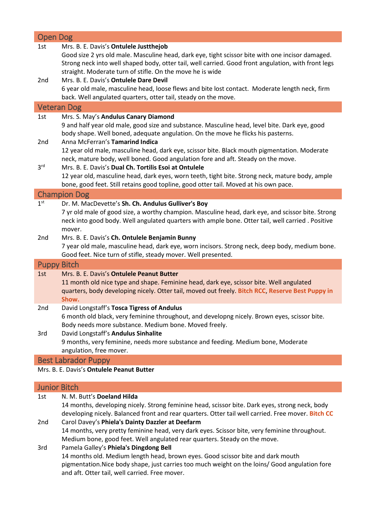| <b>Open Dog</b>                                                                                                                                                                                                                                                                                                       |  |
|-----------------------------------------------------------------------------------------------------------------------------------------------------------------------------------------------------------------------------------------------------------------------------------------------------------------------|--|
| Mrs. B. E. Davis's Ontulele Justthejob<br>1st<br>Good size 2 yrs old male. Masculine head, dark eye, tight scissor bite with one incisor damaged.<br>Strong neck into well shaped body, otter tail, well carried. Good front angulation, with front legs<br>straight. Moderate turn of stifle. On the move he is wide |  |
| Mrs. B. E. Davis's Ontulele Dare Devil<br>2 <sub>nd</sub><br>6 year old male, masculine head, loose flews and bite lost contact. Moderate length neck, firm<br>back. Well angulated quarters, otter tail, steady on the move.                                                                                         |  |
| <b>Veteran Dog</b>                                                                                                                                                                                                                                                                                                    |  |
| Mrs. S. May's Andulus Canary Diamond<br>1st<br>9 and half year old male, good size and substance. Masculine head, level bite. Dark eye, good<br>body shape. Well boned, adequate angulation. On the move he flicks his pasterns.<br>Anna McFerran's Tamarind Indica<br>2nd                                            |  |
| 12 year old male, masculine head, dark eye, scissor bite. Black mouth pigmentation. Moderate<br>neck, mature body, well boned. Good angulation fore and aft. Steady on the move.                                                                                                                                      |  |
| 3 <sup>rd</sup><br>Mrs. B. E. Davis's Dual Ch. Tortilis Esoi at Ontulele<br>12 year old, masculine head, dark eyes, worn teeth, tight bite. Strong neck, mature body, ample<br>bone, good feet. Still retains good topline, good otter tail. Moved at his own pace.                                                   |  |
| <b>Champion Dog</b>                                                                                                                                                                                                                                                                                                   |  |
| 1 <sup>st</sup><br>Dr. M. MacDevette's Sh. Ch. Andulus Gulliver's Boy<br>7 yr old male of good size, a worthy champion. Masculine head, dark eye, and scissor bite. Strong<br>neck into good body. Well angulated quarters with ample bone. Otter tail, well carried . Positive<br>mover.                             |  |
| Mrs. B. E. Davis's Ch. Ontulele Benjamin Bunny<br>2nd<br>7 year old male, masculine head, dark eye, worn incisors. Strong neck, deep body, medium bone.<br>Good feet. Nice turn of stifle, steady mover. Well presented.                                                                                              |  |
| <b>Puppy Bitch</b>                                                                                                                                                                                                                                                                                                    |  |
| Mrs. B. E. Davis's Ontulele Peanut Butter<br>1st<br>11 month old nice type and shape. Feminine head, dark eye, scissor bite. Well angulated<br>quarters, body developing nicely. Otter tail, moved out freely. Bitch RCC, Reserve Best Puppy in<br>Show.                                                              |  |
| David Longstaff's Tosca Tigress of Andulus<br>2nd<br>6 month old black, very feminine throughout, and developng nicely. Brown eyes, scissor bite.<br>Body needs more substance. Medium bone. Moved freely.                                                                                                            |  |
| David Longstaff's Andulus Sinhalite<br>3rd<br>9 months, very feminine, needs more substance and feeding. Medium bone, Moderate<br>angulation, free mover.                                                                                                                                                             |  |
| <b>Best Labrador Puppy</b>                                                                                                                                                                                                                                                                                            |  |

Mrs. B. E. Davis's **Ontulele Peanut Butter**

# Junior Bitch

| N. M. Butt's Doeland Hilda<br>1st                       |                                                                                                    |  |  |
|---------------------------------------------------------|----------------------------------------------------------------------------------------------------|--|--|
|                                                         | 14 months, developing nicely. Strong feminine head, scissor bite. Dark eyes, strong neck, body     |  |  |
|                                                         | developing nicely. Balanced front and rear quarters. Otter tail well carried. Free mover. Bitch CC |  |  |
| Carol Davey's Phiela's Dainty Dazzler at Deefarm<br>2nd |                                                                                                    |  |  |
|                                                         | 14 months, very pretty feminine head, very dark eyes. Scissor bite, very feminine throughout.      |  |  |
|                                                         | Medium bone, good feet. Well angulated rear quarters. Steady on the move.                          |  |  |
| 3rd                                                     | Pamela Galley's Phiela's Dingdong Bell                                                             |  |  |
|                                                         | 14 months old. Medium length head, brown eyes. Good scissor bite and dark mouth                    |  |  |
|                                                         | pigmentation. Nice body shape, just carries too much weight on the loins/ Good angulation fore     |  |  |
|                                                         | and aft. Otter tail, well carried. Free mover.                                                     |  |  |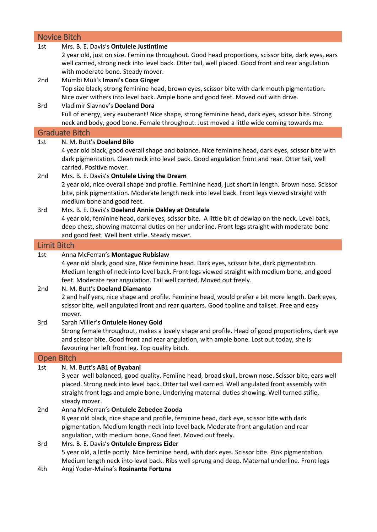| <b>Novice Bitch</b> |                                                                                                                                                                                                                                                                                                                                                       |  |  |
|---------------------|-------------------------------------------------------------------------------------------------------------------------------------------------------------------------------------------------------------------------------------------------------------------------------------------------------------------------------------------------------|--|--|
| 1st                 | Mrs. B. E. Davis's Ontulele Justintime<br>2 year old, just on size. Feminine throughout. Good head proportions, scissor bite, dark eyes, ears<br>well carried, strong neck into level back. Otter tail, well placed. Good front and rear angulation<br>with moderate bone. Steady mover.                                                              |  |  |
| 2nd                 | Mumbi Muli's Imani's Coca Ginger<br>Top size black, strong feminine head, brown eyes, scissor bite with dark mouth pigmentation.<br>Nice over withers into level back. Ample bone and good feet. Moved out with drive.                                                                                                                                |  |  |
| 3rd                 | Vladimir Slavnov's Doeland Dora<br>Full of energy, very exuberant! Nice shape, strong feminine head, dark eyes, scissor bite. Strong<br>neck and body, good bone. Female throughout. Just moved a little wide coming towards me.                                                                                                                      |  |  |
|                     | <b>Graduate Bitch</b>                                                                                                                                                                                                                                                                                                                                 |  |  |
| 1st                 | N. M. Butt's Doeland Bilo                                                                                                                                                                                                                                                                                                                             |  |  |
|                     | 4 year old black, good overall shape and balance. Nice feminine head, dark eyes, scissor bite with<br>dark pigmentation. Clean neck into level back. Good angulation front and rear. Otter tail, well<br>carried. Positive mover.                                                                                                                     |  |  |
| 2nd                 | Mrs. B. E. Davis's Ontulele Living the Dream<br>2 year old, nice overall shape and profile. Feminine head, just short in length. Brown nose. Scissor<br>bite, pink pigmentation. Moderate length neck into level back. Front legs viewed straight with<br>medium bone and good feet.                                                                  |  |  |
| 3rd                 | Mrs. B. E. Davis's Doeland Annie Oakley at Ontulele<br>4 year old, feminine head, dark eyes, scissor bite. A little bit of dewlap on the neck. Level back,<br>deep chest, showing maternal duties on her underline. Front legs straight with moderate bone<br>and good feet. Well bent stifle. Steady mover.                                          |  |  |
| <b>Limit Bitch</b>  |                                                                                                                                                                                                                                                                                                                                                       |  |  |
| 1st                 | Anna McFerran's Montague Rubislaw                                                                                                                                                                                                                                                                                                                     |  |  |
| 2nd                 | 4 year old black, good size, Nice feminine head. Dark eyes, scissor bite, dark pigmentation.<br>Medium length of neck into level back. Front legs viewed straight with medium bone, and good<br>feet. Moderate rear angulation. Tail well carried. Moved out freely.<br>N. M. Butt's Doeland Diamanto                                                 |  |  |
|                     | 2 and half yers, nice shape and profile. Feminine head, would prefer a bit more length. Dark eyes,<br>scissor bite, well angulated front and rear quarters. Good topline and tailset. Free and easy<br>mover.                                                                                                                                         |  |  |
| 3rd                 | Sarah Miller's Ontulele Honey Gold<br>Strong female throughout, makes a lovely shape and profile. Head of good proportiohns, dark eye<br>and scissor bite. Good front and rear angulation, with ample bone. Lost out today, she is<br>favouring her left front leg. Top quality bitch.                                                                |  |  |
|                     | <b>Open Bitch</b>                                                                                                                                                                                                                                                                                                                                     |  |  |
| 1st                 | N. M. Butt's AB1 of Byabani<br>3 year well balanced, good quality. Femiine head, broad skull, brown nose. Scissor bite, ears well<br>placed. Strong neck into level back. Otter tail well carried. Well angulated front assembly with<br>straight front legs and ample bone. Underlying maternal duties showing. Well turned stifle,<br>steady mover. |  |  |
| 2nd                 | Anna McFerran's Ontulele Zebedee Zooda<br>8 year old black, nice shape and profile, feminine head, dark eye, scissor bite with dark<br>pigmentation. Medium length neck into level back. Moderate front angulation and rear<br>angulation, with medium bone. Good feet. Moved out freely.                                                             |  |  |
| 3rd<br>4th          | Mrs. B. E. Davis's Ontulele Empress Eider<br>5 year old, a little portly. Nice feminine head, with dark eyes. Scissor bite. Pink pigmentation.<br>Medium length neck into level back. Ribs well sprung and deep. Maternal underline. Front legs<br>Angi Yoder-Maina's Rosinante Fortuna                                                               |  |  |
|                     |                                                                                                                                                                                                                                                                                                                                                       |  |  |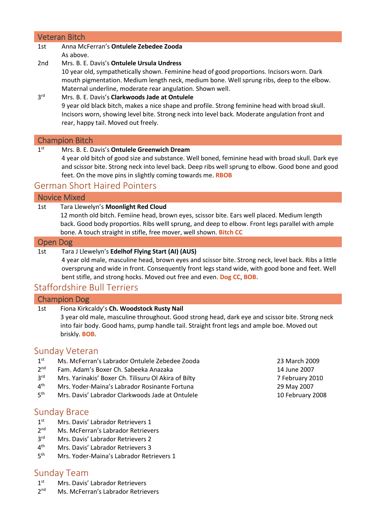### Veteran Bitch

#### 1st Anna McFerran's **Ontulele Zebedee Zooda** As above.

2nd Mrs. B. E. Davis's **Ontulele Ursula Undress**

10 year old, sympathetically shown. Feminine head of good proportions. Incisors worn. Dark mouth pigmentation. Medium length neck, medium bone. Well sprung ribs, deep to the elbow. Maternal underline, moderate rear angulation. Shown well.

#### 3rd Mrs. B. E. Davis's **Clarkwoods Jade at Ontulele** 9 year old black bitch, makes a nice shape and profile. Strong feminine head with broad skull. Incisors worn, showing level bite. Strong neck into level back. Moderate angulation front and rear, happy tail. Moved out freely.

### Champion Bitch

 $1<sup>st</sup>$ **Mrs. B. E. Davis's Ontulele Greenwich Dream** 4 year old bitch of good size and substance. Well boned, feminine head with broad skull. Dark eye and scissor bite. Strong neck into level back. Deep ribs well sprung to elbow. Good bone and good feet. On the move pins in slightly coming towards me. **RBOB**

# German Short Haired Pointers

### Novice Mixed

### 1st Tara Llewelyn's **Moonlight Red Cloud**

12 month old bitch. Femiine head, brown eyes, scissor bite. Ears well placed. Medium length back. Good body proportios. Ribs welll sprung, and deep to elbow. Front legs parallel with ample bone. A touch straight in stifle, free mover, well shown. **Bitch CC**

#### Open Dog

### 1st Tara J Llewelyn's **Edelhof Flying Start (AI) (AUS)**

4 year old male, masculine head, brown eyes and scissor bite. Strong neck, level back. Ribs a little oversprung and wide in front. Consequently front legs stand wide, with good bone and feet. Well bent stifle, and strong hocks. Moved out free and even. **Dog CC**, **BOB**.

# Staffordshire Bull Terriers

### Champion Dog

### 1st Fiona Kirkcaldy's **Ch. Woodstock Rusty Nail**

3 year old male, masculine throughout. Good strong head, dark eye and scissor bite. Strong neck into fair body. Good hams, pump handle tail. Straight front legs and ample boe. Moved out briskly. **BOB**.

# Sunday Veteran

- $1<sup>st</sup>$ st Ms. McFerran's Labrador Ontulele Zebedee Zooda 23 March 2009
- $2<sup>nd</sup>$ nd Fam. Adam's Boxer Ch. Sabeeka Anazaka 14 June 2007
- 3rd rd Mrs. Yarinakis' Boxer Ch. Tilisuru Ol Akira of Bilty 7 February 2010
- $4<sup>th</sup>$ th Mrs. Yoder-Maina's Labrador Rosinante Fortuna 29 May 2007
- 5<sup>th</sup> th Mrs. Davis' Labrador Clarkwoods Jade at Ontulele 10 February 2008

# Sunday Brace

- $1<sup>st</sup>$ Mrs. Davis' Labrador Retrievers 1
- $2<sup>nd</sup>$ Ms. McFerran's Labrador Retrievers
- 3rd Mrs. Davis' Labrador Retrievers 2
- $4<sup>th</sup>$ Mrs. Davis' Labrador Retrievers 3
- $5<sup>th</sup>$ Mrs. Yoder-Maina's Labrador Retrievers 1

# Sunday Team

- $1<sup>st</sup>$ Mrs. Davis' Labrador Retrievers
- $2<sub>nd</sub>$ Ms. McFerran's Labrador Retrievers
- 
-